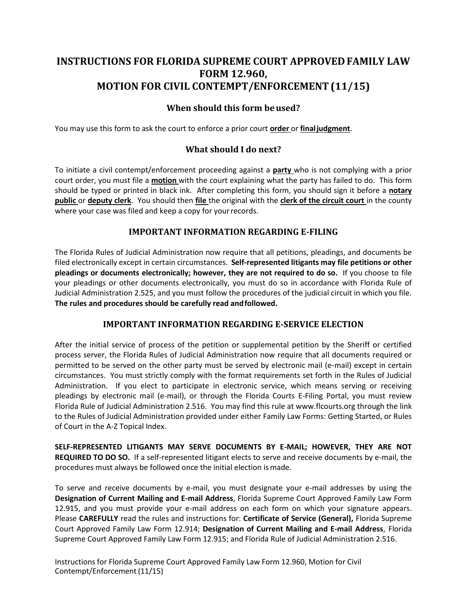# **INSTRUCTIONS FOR FLORIDA SUPREME COURT APPROVED FAMILY LAW FORM 12.960, INSTRUCTIONS FOR FLORIDA SUPREME COURT APPROVED FAMILY LAW<br>FORM 12.960,<br>MOTION FOR CIVIL CONTEMPT/ENFORCEMENT (11/15)<br>When should this form be used?**

You may use this form to ask the court to enforce a prior court **order** or **finaljudgment**.

### **What should I do next?**

 To initiate a civil contempt/enforcement proceeding against a **party** who is not complying with a prior court order, you must file a **motion** with the court explaining what the party has failed to do. This form should be typed or printed in black ink. After completing this form, you should sign it before a **notary public** or **deputy clerk**. You should then **file** the original with the **clerk of the circuit court** in the county where your case was filed and keep a copy for your records.

### **IMPORTANT INFORMATION REGARDING E-FILING**

 The Florida Rules of Judicial Administration now require that all petitions, pleadings, and documents be filed electronically except in certain circumstances. **Self-represented litigants may file petitions or other pleadings or documents electronically; however, they are not required to do so.** If you choose to file your pleadings or other documents electronically, you must do so in accordance with Florida Rule of Judicial Administration 2.525, and you must follow the procedures of the judicial circuit in which you file.  **The rules and procedures should be carefully read and followed.** 

#### **IMPORTANT INFORMATION REGARDING E-SERVICE ELECTION**

 After the initial service of process of the petition or supplemental petition by the Sheriff or certified process server, the Florida Rules of Judicial Administration now require that all documents required or permitted to be served on the other party must be served by electronic mail (e-mail) except in certain circumstances. You must strictly comply with the format requirements set forth in the Rules of Judicial Administration. If you elect to participate in electronic service, which means serving or receiving pleadings by electronic mail (e-mail), or through the Florida Courts E-Filing Portal, you must review Florida Rule of Judicial Administration 2.516. You may find this rule at [www.flcourts.org](http://www.flcourts.org/) through the link to the Rules of Judicial Administration provided under either Family Law Forms: Getting Started, or Rules of Court in the A-Z Topical Index.

 **SELF-REPRESENTED LITIGANTS MAY SERVE DOCUMENTS BY E-MAIL; HOWEVER, THEY ARE NOT REQUIRED TO DO SO.** If a self-represented litigant elects to serve and receive documents by e-mail, the procedures must always be followed once the initial election is made.

 To serve and receive documents by e-mail, you must designate your e-mail addresses by using the  **Designation of Current Mailing and E-mail Address**, Florida Supreme Court Approved Family Law Form 12.915, and you must provide your e-mail address on each form on which your signature appears. Please **CAREFULLY** read the rules and instructions for: **Certificate of Service (General),** Florida Supreme Court Approved Family Law Form 12.914; **Designation of Current Mailing and E-mail Address**, Florida Supreme Court Approved Family Law Form 12.915; and Florida Rule of Judicial Administration 2.516.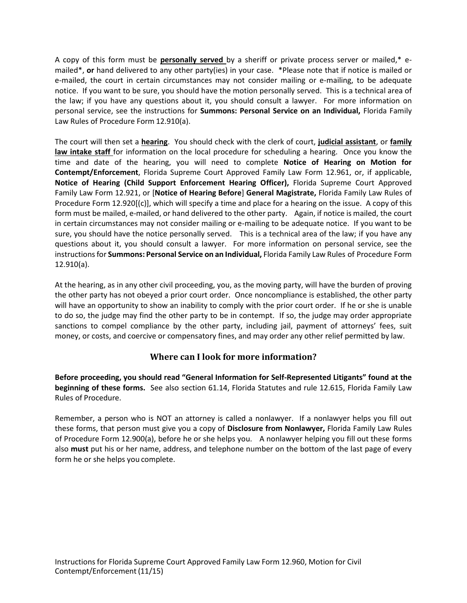A copy of this form must be **personally served** by a sheriff or private process server or mailed,\* e- mailed\*, **or** hand delivered to any other party(ies) in your case. \*Please note that if notice is mailed or e-mailed, the court in certain circumstances may not consider mailing or e-mailing, to be adequate notice. If you want to be sure, you should have the motion personally served. This is a technical area of the law; if you have any questions about it, you should consult a lawyer. For more information on personal service, see the instructions for **Summons: Personal Service on an Individual,** Florida Family Law Rules of Procedure Form 12.910(a).

 The court will then set a **hearing**. You should check with the clerk of court, **judicial assistant**, or **family**  law intake staff for information on the local procedure for scheduling a hearing. Once you know the time and date of the hearing, you will need to complete **Notice of Hearing on Motion for Contempt/Enforcement**, Florida Supreme Court Approved Family Law Form 12.961, or, if applicable,  **Notice of Hearing (Child Support Enforcement Hearing Officer),** Florida Supreme Court Approved Family Law Form 12.921, or [**Notice of Hearing Before**] **General Magistrate,** Florida Family Law Rules of Procedure Form 12.920[(c)], which will specify a time and place for a hearing on the issue. A copy of this form must be mailed, e-mailed, or hand delivered to the other party. Again, if notice is mailed, the court in certain circumstances may not consider mailing or e-mailing to be adequate notice. If you want to be sure, you should have the notice personally served. This is a technical area of the law; if you have any questions about it, you should consult a lawyer. For more information on personal service, see the  instructions for **Summons: Personal Service on an Individual,** Florida Family Law Rules of Procedure Form 12.910(a).

 will have an opportunity to show an inability to comply with the prior court order. If he or she is unable to do so, the judge may find the other party to be in contempt. If so, the judge may order appropriate money, or costs, and coercive or compensatory fines, and may order any other relief permitted by law. At the hearing, as in any other civil proceeding, you, as the moving party, will have the burden of proving the other party has not obeyed a prior court order. Once noncompliance is established, the other party sanctions to compel compliance by the other party, including jail, payment of attorneys' fees, suit

## **Where can I look for more information?**

 **Before proceeding, you should read "General Information for Self-Represented Litigants" found at the beginning of these forms.** See also section 61.14, Florida Statutes and rule 12.615, Florida Family Law Rules of Procedure.

 Remember, a person who is NOT an attorney is called a nonlawyer. If a nonlawyer helps you fill out these forms, that person must give you a copy of **Disclosure from Nonlawyer,** Florida Family Law Rules of Procedure Form 12.900(a), before he or she helps you. Anonlawyer helping you fill out these forms also **must** put his or her name, address, and telephone number on the bottom of the last page of every form he or she helps you complete.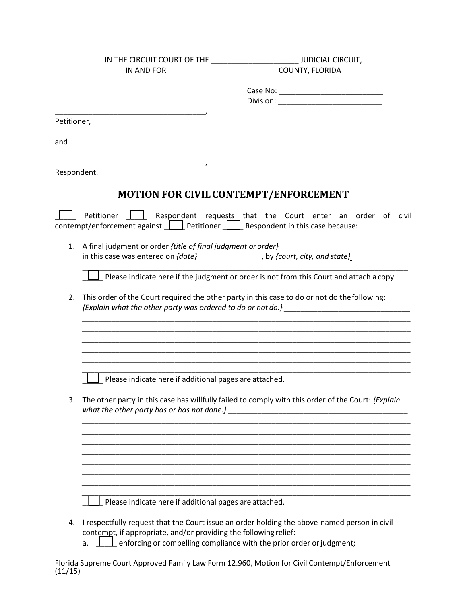|             | IN THE CIRCUIT COURT OF THE ____________________________JUDICIAL CIRCUIT,                                            |                                                                                                    |
|-------------|----------------------------------------------------------------------------------------------------------------------|----------------------------------------------------------------------------------------------------|
|             |                                                                                                                      |                                                                                                    |
|             |                                                                                                                      |                                                                                                    |
| Petitioner, |                                                                                                                      |                                                                                                    |
| and         |                                                                                                                      |                                                                                                    |
| Respondent. |                                                                                                                      |                                                                                                    |
|             | <b>MOTION FOR CIVIL CONTEMPT/ENFORCEMENT</b>                                                                         |                                                                                                    |
|             | contempt/enforcement against $\boxed{\phantom{a}}$ Petitioner $\boxed{\phantom{a}}$ Respondent in this case because: | Petitioner <u>I</u> Respondent requests that the Court enter an order of civil                     |
|             | 1. A final judgment or order {title of final judgment or order} _________________                                    | in this case was entered on {date} ________________, by {court, city, and state} _____________     |
|             |                                                                                                                      | $\perp$ Please indicate here if the judgment or order is not from this Court and attach a copy.    |
| 2.          | This order of the Court required the other party in this case to do or not do the following:                         |                                                                                                    |
|             |                                                                                                                      |                                                                                                    |
|             |                                                                                                                      |                                                                                                    |
|             |                                                                                                                      |                                                                                                    |
|             | Please indicate here if additional pages are attached.                                                               |                                                                                                    |
| 3.          |                                                                                                                      | The other party in this case has willfully failed to comply with this order of the Court: {Explain |
|             |                                                                                                                      |                                                                                                    |
|             |                                                                                                                      |                                                                                                    |
|             |                                                                                                                      |                                                                                                    |
|             |                                                                                                                      |                                                                                                    |
|             | Please indicate here if additional pages are attached.                                                               |                                                                                                    |
| 4.          |                                                                                                                      | I respectfully request that the Court issue an order holding the above-named person in civil       |
|             | contempt, if appropriate, and/or providing the following relief:<br>a.                                               | enforcing or compelling compliance with the prior order or judgment;                               |
|             |                                                                                                                      | Florida Supreme Court Approved Family Law Form 12.960, Motion for Civil Contempt/Enforcement       |

(11/15)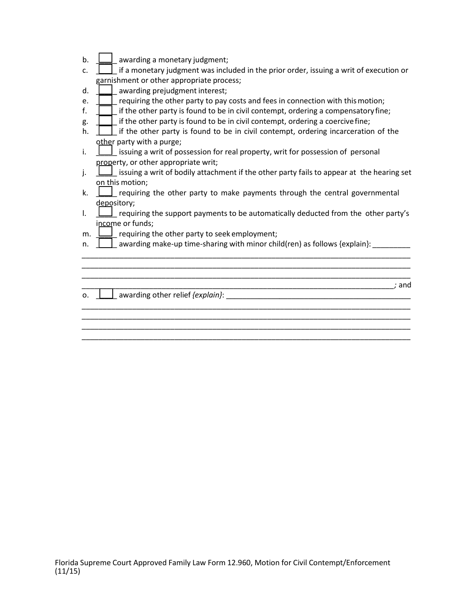- b. **Letter** awarding a monetary judgment; b.
- c.  $\Box$  if a monetary judgment was included in the prior order, issuing a writ of execution or garnishment or other appropriate process; c.
- d. **I** awarding prejudgment interest;  $d_{\cdot}$
- e.  $\Box$  requiring the other party to pay costs and fees in connection with this motion; e.
- f.  $\Box$  if the other party is found to be in civil contempt, ordering a compensatory fine; f.
- g.  $\Box$  if the other party is found to be in civil contempt, ordering a coercive fine; g.
- h.  $\Box$  if the other party is found to be in civil contempt, ordering incarceration of the other party with a purge; h.
- i.  $\Box$  issuing a writ of possession for real property, writ for possession of personal property, or other appropriate writ; i.
- j. j.\_\_\_\_\_ issuing a writ of bodily attachment if the other party fails to appear at the hearing set on this motion;
- k.  $\bigsqcup$  requiring the other party to make payments through the central governmental depository;
- I.  $\Box$  requiring the support payments to be automatically deducted from the other party's i<u>ncom</u>e or funds;  $\mathsf{L}$

*\_\_\_\_\_\_\_\_\_\_\_\_\_\_\_\_\_\_\_\_\_\_\_\_\_\_\_\_\_\_\_\_\_\_\_\_\_\_\_\_\_\_\_\_\_\_\_\_\_\_\_\_\_\_\_\_\_\_\_\_\_\_\_\_\_\_\_\_\_\_\_\_\_\_\_\_\_\_ \_\_\_\_\_\_\_\_\_\_\_\_\_\_\_\_\_\_\_\_\_\_\_\_\_\_\_\_\_\_\_\_\_\_\_\_\_\_\_\_\_\_\_\_\_\_\_\_\_\_\_\_\_\_\_\_\_\_\_\_\_\_\_\_\_\_\_\_\_\_\_\_\_\_\_\_\_\_ \_\_\_\_\_\_\_\_\_\_\_\_\_\_\_\_\_\_\_\_\_\_\_\_\_\_\_\_\_\_\_\_\_\_\_\_\_\_\_\_\_\_\_\_\_\_\_\_\_\_\_\_\_\_\_\_\_\_\_\_\_\_\_\_\_\_\_\_\_\_\_\_\_\_\_\_\_\_* 

*\_\_\_\_\_\_\_\_\_\_\_\_\_\_\_\_\_\_\_\_\_\_\_\_\_\_\_\_\_\_\_\_\_\_\_\_\_\_\_\_\_\_\_\_\_\_\_\_\_\_\_\_\_\_\_\_\_\_\_\_\_\_\_\_\_\_\_\_\_\_\_\_\_\_\_\_\_\_ \_\_\_\_\_\_\_\_\_\_\_\_\_\_\_\_\_\_\_\_\_\_\_\_\_\_\_\_\_\_\_\_\_\_\_\_\_\_\_\_\_\_\_\_\_\_\_\_\_\_\_\_\_\_\_\_\_\_\_\_\_\_\_\_\_\_\_\_\_\_\_\_\_\_\_\_\_\_ \_\_\_\_\_\_\_\_\_\_\_\_\_\_\_\_\_\_\_\_\_\_\_\_\_\_\_\_\_\_\_\_\_\_\_\_\_\_\_\_\_\_\_\_\_\_\_\_\_\_\_\_\_\_\_\_\_\_\_\_\_\_\_\_\_\_\_\_\_\_\_\_\_\_\_\_\_\_ \_\_\_\_\_\_\_\_\_\_\_\_\_\_\_\_\_\_\_\_\_\_\_\_\_\_\_\_\_\_\_\_\_\_\_\_\_\_\_\_\_\_\_\_\_\_\_\_\_\_\_\_\_\_\_\_\_\_\_\_\_\_\_\_\_\_\_\_\_\_\_\_\_\_\_\_\_\_* 

*\_\_\_\_\_\_\_\_\_\_\_\_\_\_\_\_\_\_\_\_\_\_\_\_\_\_\_\_\_\_\_\_\_\_\_\_\_\_\_\_\_\_\_\_\_\_\_\_\_\_\_\_\_\_\_\_\_\_\_\_\_\_\_\_\_\_\_\_\_\_\_\_\_\_;* and

- m.  $\perp$  requiring the other party to seek employment;
- n.  $\Box$  awarding make-up time-sharing with minor child(ren) as follows {explain}: *\_\_\_\_\_\_\_\_* n.
- o.\_\_\_\_\_ awarding other relief *{explain}*: \_\_\_\_\_\_\_\_\_\_\_\_\_\_\_\_\_\_\_\_\_\_\_\_\_\_\_\_\_\_\_\_\_\_\_\_\_\_\_\_\_\_\_\_\_